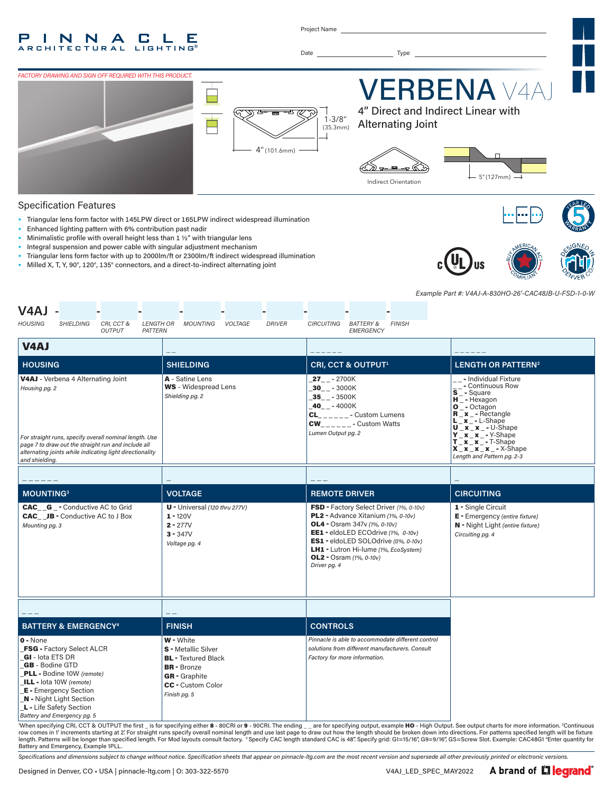#### P N N C. L. Е  $\blacktriangle$ **RCHITECTURAL LIGHTING**

Project Name

Date Type



#### Specification Features

- Triangular lens form factor with 145LPW direct or 165LPW indirect widespread illumination
- Enhanced lighting pattern with 6% contribution past nadir
- Minimalistic profile with overall height less than 1 ½" with triangular lens
- Integral suspension and power cable with singular adjustment mechanism
- Triangular lens form factor with up to 2000lm/ft or 2300lm/ft indirect widespread illumination
- Milled X, T, Y, 90°, 120°, 135° connectors, and a direct-to-indirect alternating joint





*Example Part #: V4AJ-A-830HO-26'-CAC48JB-U-FSD-1-0-W*

| V4AJ<br><b>HOUSING</b><br>SHIELDING<br>CRI, CCT &<br>LENGTH OR<br>PATTERN                                                                                                                                                                                                        | MOUNTING<br><b>DRIVER</b><br>VOLTAGE                                                                                                                            | CIRCUITING<br>BATTERY &<br><b>FINISH</b><br><b>EMERGENCY</b>                                                                                                                                                                                                                                    |                                                                                                                                                                                                                                                                                                          |  |
|----------------------------------------------------------------------------------------------------------------------------------------------------------------------------------------------------------------------------------------------------------------------------------|-----------------------------------------------------------------------------------------------------------------------------------------------------------------|-------------------------------------------------------------------------------------------------------------------------------------------------------------------------------------------------------------------------------------------------------------------------------------------------|----------------------------------------------------------------------------------------------------------------------------------------------------------------------------------------------------------------------------------------------------------------------------------------------------------|--|
| <b>OUTPUT</b><br><b>V4AJ</b>                                                                                                                                                                                                                                                     |                                                                                                                                                                 |                                                                                                                                                                                                                                                                                                 |                                                                                                                                                                                                                                                                                                          |  |
| <b>HOUSING</b>                                                                                                                                                                                                                                                                   | <b>SHIELDING</b>                                                                                                                                                | <b>CRI, CCT &amp; OUTPUT1</b>                                                                                                                                                                                                                                                                   | <b>LENGTH OR PATTERN<sup>2</sup></b>                                                                                                                                                                                                                                                                     |  |
| <b>V4AJ</b> - Verbena 4 Alternating Joint<br>Housing pg. 2<br>For straight runs, specify overall nominal length. Use<br>page 7 to draw out the straight run and include all<br>alternating joints while indicating light directionality<br>and shielding.                        | A - Satine Lens<br><b>WS</b> - Widespread Lens<br>Shielding pg. 2                                                                                               | $27 - 2700K$<br>$30 - -3000K$<br>$35 - -3500K$<br>$40 - - 4000K$<br>$CL$ <sub>______</sub> - Custom Lumens<br>$CW_{------}$ - Custom Watts<br>Lumen Output pg. 2                                                                                                                                | - Individual Fixture<br>- Continuous Row<br>$\bar{s}$ <sup>-</sup><br>$H^-$ - Hexagon<br>$O^-$ - Octagon<br>$R_x -$ Rectangle<br>$L_x - L-Shape$<br>$U_x_x_x - U-Shape$<br>$Y$ $X$ $X$ - Y-Shape<br>$\overline{\begin{matrix} T-x-x \\ x-x \\ x-x \end{matrix}}$ - T-Shape<br>Length and Pattern pg. 2-3 |  |
|                                                                                                                                                                                                                                                                                  |                                                                                                                                                                 |                                                                                                                                                                                                                                                                                                 |                                                                                                                                                                                                                                                                                                          |  |
| <b>MOUNTING3</b>                                                                                                                                                                                                                                                                 | <b>VOLTAGE</b>                                                                                                                                                  | <b>REMOTE DRIVER</b>                                                                                                                                                                                                                                                                            | <b>CIRCUITING</b>                                                                                                                                                                                                                                                                                        |  |
| <b>CAC__G_-</b> Conductive AC to Grid<br><b>CAC</b> JB - Conductive AC to J Box<br>Mounting pg. 3                                                                                                                                                                                | $U -$ Universal (120 thru 277V)<br>$1 - 120V$<br>$2 - 277V$<br>$3 - 347V$<br>Voltage pg. 4                                                                      | FSD - Factory Select Driver (1%, 0-10v)<br>PL2 - Advance Xitanium (1%, 0-10v)<br><b>OL4</b> - Osram 347v (1%, 0-10v)<br>EE1 - eldoLED ECOdrive (1%, 0-10v)<br>ES1 - eldoLED SOLOdrive (0%, 0-10v)<br>LH1 - Lutron Hi-lume (1%, EcoSystem)<br><b>OL2</b> - Osram $(1\% , 0-10v)$<br>Driver pg. 4 | 1 - Single Circuit<br>E - Emergency (entire fixture)<br>N - Night Light (entire fixture)<br>Circuiting pg. 4                                                                                                                                                                                             |  |
|                                                                                                                                                                                                                                                                                  |                                                                                                                                                                 |                                                                                                                                                                                                                                                                                                 |                                                                                                                                                                                                                                                                                                          |  |
| <b>BATTERY &amp; EMERGENCY<sup>4</sup></b>                                                                                                                                                                                                                                       | <b>FINISH</b>                                                                                                                                                   | <b>CONTROLS</b>                                                                                                                                                                                                                                                                                 |                                                                                                                                                                                                                                                                                                          |  |
| $0 - None$<br><b>FSG - Factory Select ALCR</b><br>GI - lota ETS DR<br><b>GB</b> - Bodine GTD<br>PLL - Bodine 10W (remote)<br>ILL - lota 10W (remote)<br><b>E</b> - Emergency Section<br><b>N</b> - Night Light Section<br>L - Life Safety Section<br>Battery and Emergency pg. 5 | W - White<br><b>S</b> - Metallic Silver<br><b>BL</b> - Textured Black<br><b>BR</b> - Bronze<br><b>GR</b> - Graphite<br><b>CC</b> - Custom Color<br>Finish pg. 5 | Pinnacle is able to accommodate different control<br>solutions from different manufacturers. Consult<br>Factory for more information.                                                                                                                                                           | When specifying CRL CCT & OUTPUT the first is for specifying either 8 - 80CRL or 9 - 90CRL The ending are for specifying output, example HQ - High Output, See output charts for more information. <sup>2</sup> Continuous                                                                               |  |

"When specifying CRI, CCT & OUTPUT the first \_ is for specifying either 8 - 80CRI or 9 - 90CRI. The ending \_\_are for specifying output, example HO - High Output. See output charts for more information. ªContinuous<br>row come Battery and Emergency, Example 1PLL.

*Specifications and dimensions subject to change without notice. Specification sheets that appear on pinnacle-ltg.com are the most recent version and supersede all other previously printed or electronic versions.*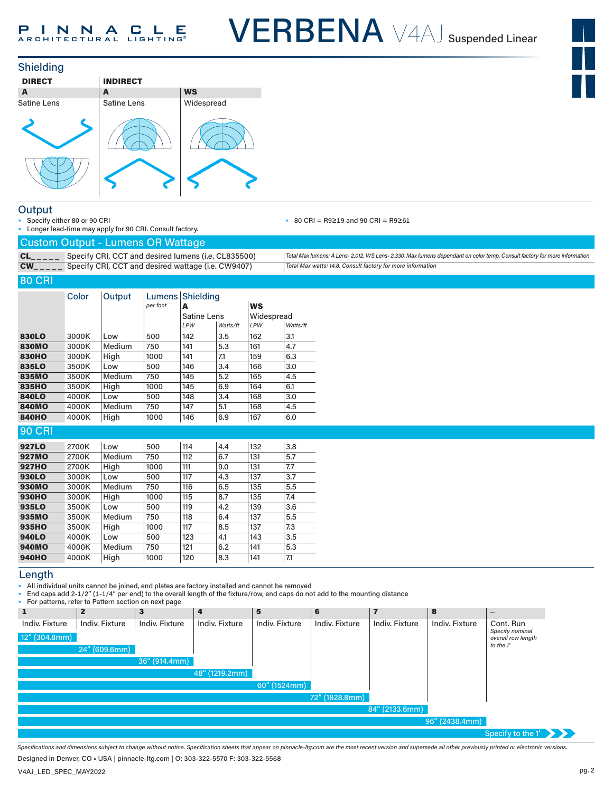VERBENA V4AJ Suspended Linear





#### **Output**

Specify either 80 or 90 CRI • Longer lead-time may apply for 90 CRI. Consult factory. • 80 CRI = R9≥19 and 90 CRI = R9≥61

|  | Total Max lumens: A Lens-2,012, WS Lens-2,330. Max lumens dependant on color temp. Consult factory for more information |
|--|-------------------------------------------------------------------------------------------------------------------------|
|  | Total Max watts: 14.8. Consult factory for more information                                                             |

#### 80 CRI

|               | Color | Output | Lumens  <br>per foot | Shielding<br>A |          | <b>WS</b>  |          |
|---------------|-------|--------|----------------------|----------------|----------|------------|----------|
|               |       |        |                      | Satine Lens    |          | Widespread |          |
|               |       |        |                      | LPW            | Watts/ft | LPW        | Watts/ft |
| 830LO         | 3000K | Low    | 500                  | 142            | 3.5      | 162        | 3.1      |
| <b>830MO</b>  | 3000K | Medium | 750                  | 141            | 5.3      | 161        | 4.7      |
| <b>830HO</b>  | 3000K | High   | 1000                 | 141            | 7.1      | 159        | 6.3      |
| 835LO         | 3500K | Low    | 500                  | 146            | 3.4      | 166        | 3.0      |
| 835MO         | 3500K | Medium | 750                  | 145            | 5.2      | 165        | 4.5      |
| 835HO         | 3500K | High   | 1000                 | 145            | 6.9      | 164        | 6.1      |
| <b>840LO</b>  | 4000K | Low    | 500                  | 148            | 3.4      | 168        | 3.0      |
| <b>840MO</b>  | 4000K | Medium | 750                  | 147            | 5.1      | 168        | 4.5      |
| <b>840HO</b>  | 4000K | High   | 1000                 | 146            | 6.9      | 167        | 6.0      |
| <b>90 CRI</b> |       |        |                      |                |          |            |          |
| <b>927LO</b>  | 2700K | Low    | 500                  | 114            | 4.4      | 132        | 3.8      |
| <b>927MO</b>  | 2700K | Medium | 750                  | 112            | 6.7      | 131        | 5.7      |
| <b>927HO</b>  | 2700K | High   | 1000                 | 111            | 9.0      | 131        | 7.7      |
| 930LO         | 3000K | Low    | 500                  | 117            | 4.3      | 137        | 3.7      |
| <b>930MO</b>  | 3000K | Medium | 750                  | 116            | 6.5      | 135        | 5.5      |
| <b>930HO</b>  | 3000K | High   | 1000                 | 115            | 8.7      | 135        | 7.4      |
| 935LO         | 3500K | Low    | 500                  | 119            | 4.2      | 139        | 3.6      |
| 935MO         | 3500K | Medium | 750                  | 118            | 6.4      | 137        | 5.5      |

#### 935HO 3500K High |1000 |117 |8.5 |137 |7.3 **940LO** 4000K Low |500 |123 |4.1 |143 |3.5 940MO 4000K Medium 750 121 6.2 141 5.3 **940HO** 4000K High |1000 |120 |8.3 |141 |7.1

#### Length

• All individual units cannot be joined, end plates are factory installed and cannot be removed

• End caps add 2-1/2" (1-1/4" per end) to the overall length of the fixture/row, end caps do not add to the mounting distance

• For patterns, refer to Pattern section on next page

|                | For patterns, refer to Fattern section on next page |                  |                |                |                |                |                |                                       |
|----------------|-----------------------------------------------------|------------------|----------------|----------------|----------------|----------------|----------------|---------------------------------------|
| ш              | $\mathbf{2}$                                        | 3                | 4              | 5              | 6              | 7              | 8              | $\hspace{0.1mm}-\hspace{0.1mm}$       |
| Indiv. Fixture | Indiv. Fixture                                      | Indiv. Fixture   | Indiv. Fixture | Indiv. Fixture | Indiv. Fixture | Indiv. Fixture | Indiv. Fixture | Cont. Run                             |
| 12" (304.8mm)  |                                                     |                  |                |                |                |                |                | Specify nominal<br>overall row length |
|                | 24'' (609.6mm)                                      |                  |                |                |                |                |                | to the 1'                             |
|                |                                                     | $36''$ (914.4mm) |                |                |                |                |                |                                       |
|                |                                                     |                  | 48" (1219.2mm) |                |                |                |                |                                       |
|                |                                                     |                  |                | 60" (1524mm)   |                |                |                |                                       |
|                |                                                     |                  |                |                | 72" (1828.8mm) |                |                |                                       |
|                |                                                     |                  |                |                |                | 84" (2133.6mm) |                |                                       |
|                |                                                     |                  |                |                |                |                | 96" (2438.4mm) |                                       |
|                |                                                     |                  |                |                |                |                |                | Specify to the 1'                     |

*Specifications and dimensions subject to change without notice. Specification sheets that appear on pinnacle-ltg.com are the most recent version and supersede all other previously printed or electronic versions.*

Designed in Denver, CO • USA | pinnacle-ltg.com | O: 303-322-5570 F: 303-322-5568

V4AJ\_LED\_SPEC\_MAY2022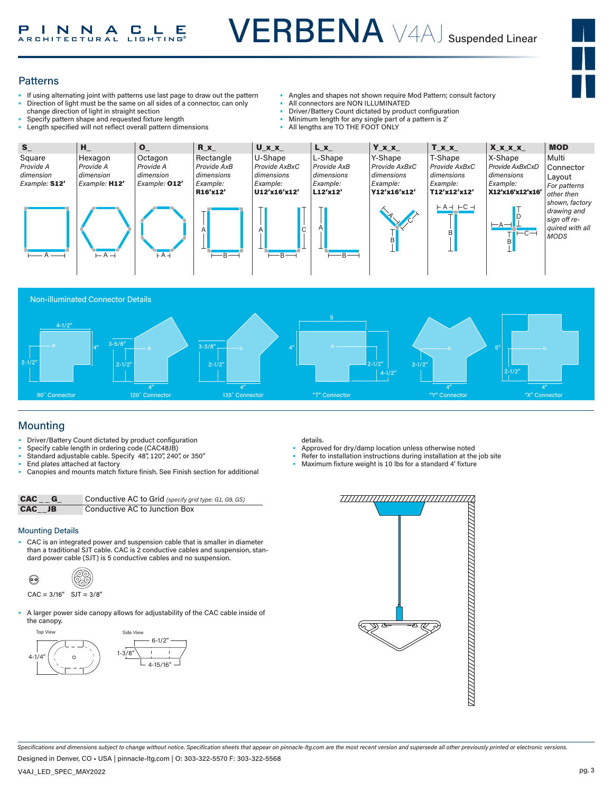

#### **Patterns**

- If using alternating joint with patterns use last page to draw out the pattern • Direction of light must be the same on all sides of a connector, can only change direction of light in straight section
- 
- Specify pattern shape and requested fixture length Length specified will not reflect overall pattern dimensions
- Angles and shapes not shown require Mod Pattern; consult factory
- All connectors are NON ILLUMINATED
- Driver/Battery Count dictated by product configuration
- Minimum length for any single part of a pattern is 2'
- All lengths are TO THE FOOT ONLY





# Mounting

- Driver/Battery Count dictated by product configuration
- Specify cable length in ordering code (CAC48JB)
- Standard adjustable cable. Specify 48", 120", 240", or 350"
- End plates attached at factory
- Canopies and mounts match fixture finish. See Finish section for additional

| CAC G  | Conductive AC to Grid (specify grid type: G1, G9, GS) |
|--------|-------------------------------------------------------|
| CAC JB | Conductive AC to Junction Box                         |

#### Mounting Details

• CAC is an integrated power and suspension cable that is smaller in diameter  $\sigma$  is a traditional SJT cable. CAC is 2 conductive cables and suspension, stan-<br>than a traditional SJT cable. CAC is 2 conductive cables and suspension, standard power cable (SJT) is 5 conductive cables and no suspension.

$$
\begin{array}{ccc}\n\bullet & & \circ \\
\bullet & & \circ\n\end{array}
$$

- $CAC = 3/16"$  SJT =  $3/8"$
- A larger power side canopy allows for adjustability of the CAC cable inside of the canopy.



details.

- Approved for dry/damp location unless otherwise noted
- Refer to installation instructions during installation at the job site
- Maximum fixture weight is 10 lbs for a standard 4' fixture



*Specifications and dimensions subject to change without notice. Specification sheets that appear on pinnacle-ltg.com are the most recent version and supersede all other previously printed or electronic versions.*

Designed in Denver, CO • USA | pinnacle-ltg.com | O: 303-322-5570 F: 303-322-5568

V4AJ\_LED\_SPEC\_MAY2022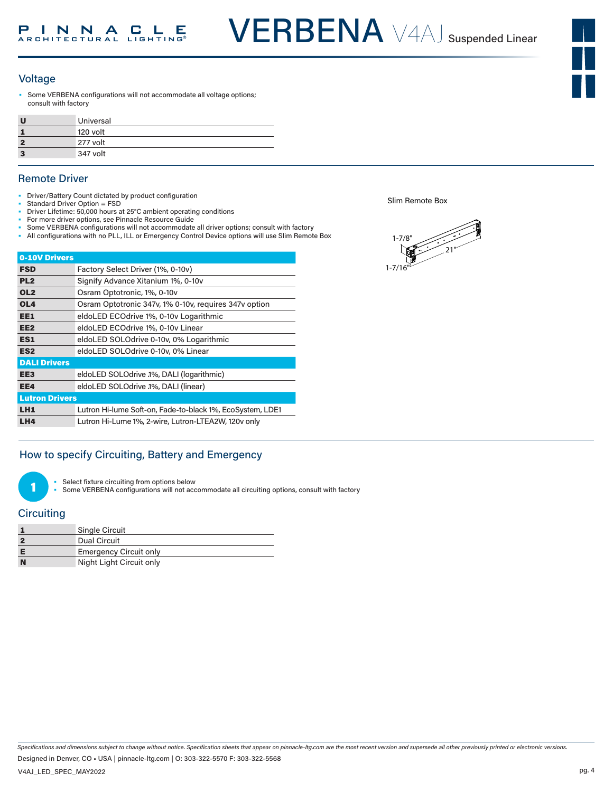VERBENA V4AJ Suspended Linear

#### Voltage

Some VERBENA configurations will not accommodate all voltage options; consult with factory

| Universal |
|-----------|
| 120 volt  |
| 277 volt  |
| 347 volt  |

#### Remote Driver

- Driver/Battery Count dictated by product configuration
- Standard Driver Option = FSD
- Driver Lifetime: 50,000 hours at 25°C ambient operating conditions
- For more driver options, see Pinnacle Resource Guide Some VERBENA configurations will not accommodate all driver options; consult with factory
- All configurations with no PLL, ILL or Emergency Control Device options will use Slim Remote Box

| 0-10V Drivers         |                                                           |
|-----------------------|-----------------------------------------------------------|
| <b>FSD</b>            | Factory Select Driver (1%, 0-10v)                         |
| PL <sub>2</sub>       | Signify Advance Xitanium 1%, 0-10v                        |
| OL <sub>2</sub>       | Osram Optotronic, 1%, 0-10y                               |
| OL <sub>4</sub>       | Osram Optotronic 347v, 1% 0-10v, requires 347v option     |
| EE1                   | eldoLED ECOdrive 1%, 0-10v Logarithmic                    |
| EE <sub>2</sub>       | eldoLED ECOdrive 1%, 0-10v Linear                         |
| ES1                   | eldoLED SOLOdrive 0-10v, 0% Logarithmic                   |
| ES <sub>2</sub>       | eldoLED SOLOdrive 0-10v, 0% Linear                        |
| <b>DALI Drivers</b>   |                                                           |
| EE3                   | eldoLED SOLOdrive .1%, DALI (logarithmic)                 |
| EE4                   | eldoLED SOLOdrive .1%, DALI (linear)                      |
| <b>Lutron Drivers</b> |                                                           |
| LH1                   | Lutron Hi-lume Soft-on, Fade-to-black 1%, EcoSystem, LDE1 |
| LH4                   | Lutron Hi-Lume 1%, 2-wire, Lutron-LTEA2W, 120v only       |

### How to specify Circuiting, Battery and Emergency

Select fixture circuiting from options below

Some VERBENA configurations will not accommodate all circuiting options, consult with factory

#### **Circuiting**

1

|          | Single Circuit                |
|----------|-------------------------------|
|          | Dual Circuit                  |
|          | <b>Emergency Circuit only</b> |
| <b>N</b> | Night Light Circuit only      |

Slim Remote Box



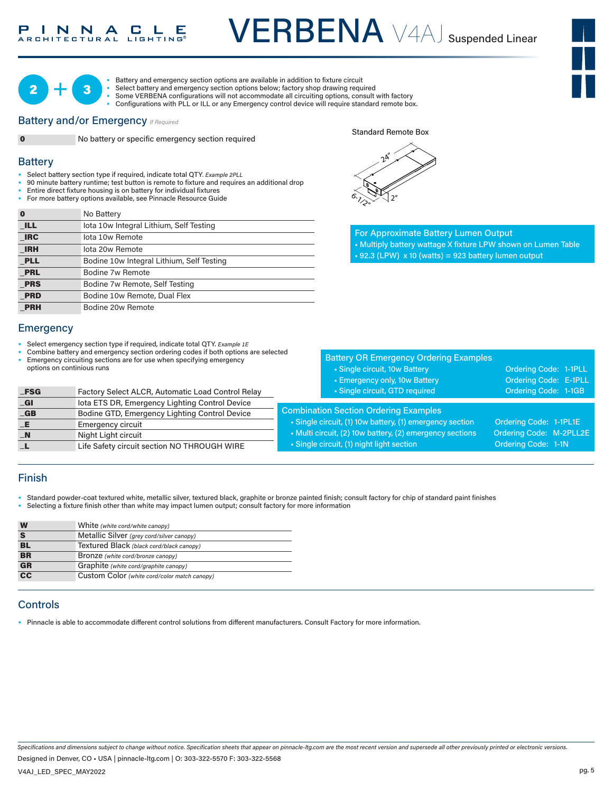# INNACLE

VERBENA V4AJ Suspended Linear





• Battery and emergency section options are available in addition to fixture circuit

- Select battery and emergency section options below; factory shop drawing required • Some VERBENA configurations will not accommodate all circuiting options, consult with factory
- Configurations with PLL or ILL or any Emergency control device will require standard remote box.

#### **Battery and/or Emergency**  *If Required*



**Battery** 

**0** No battery or specific emergency section required

#### Standard Remote Box



- Select battery section type if required, indicate total QTY*. Example 2PLL* 1-7/8"
- 90 minute battery runtime; test button is remote to fixture and requires an additional drop
- **Entire direct fixture housing is on battery for individual fixtures**
- For more battery options available, see Pinnacle Resource Guide

| O          | No Battery                                |
|------------|-------------------------------------------|
| <b>ILL</b> | lota 10w Integral Lithium, Self Testing   |
| <b>IRC</b> | lota 10w Remote                           |
| <b>IRH</b> | lota 20w Remote                           |
| <b>PLL</b> | Bodine 10w Integral Lithium, Self Testing |
| <b>PRL</b> | Bodine 7w Remote                          |
| <b>PRS</b> | Bodine 7w Remote, Self Testing            |
| <b>PRD</b> | Bodine 10w Remote, Dual Flex              |
| <b>PRH</b> | Bodine 20w Remote                         |

#### **Emergency**

- Select emergency section type if required, indicate total QTY. *Example 1E*
- Combine battery and emergency section ordering codes if both options are selected • Emergency circuiting sections are for use when specifying emergency
- options on continious runs

| $_FSG$                    | Factory Select ALCR, Automatic Load Control Relay |
|---------------------------|---------------------------------------------------|
| $\overline{\mathsf{G}}$ l | lota ETS DR, Emergency Lighting Control Device    |
| $-GB$                     | Bodine GTD, Emergency Lighting Control Device     |
| $-E$                      | <b>Emergency circuit</b>                          |
| $\blacksquare$            | Night Light circuit                               |
|                           | Life Safety circuit section NO THROUGH WIRE       |

| $\gamma$ |                 |  |
|----------|-----------------|--|
|          |                 |  |
|          |                 |  |
| .<br>م   | 2 <sup>''</sup> |  |

For Approximate Battery Lumen Output • Multiply battery wattage X fixture LPW shown on Lumen Table  $\cdot$  92.3 (LPW) x 10 (watts) = 923 battery lumen output

| <b>Battery OR Emergency Ordering Examples</b>                                                                                                                                                                     |                                                                          |
|-------------------------------------------------------------------------------------------------------------------------------------------------------------------------------------------------------------------|--------------------------------------------------------------------------|
| • Single circuit, 10w Battery                                                                                                                                                                                     | Ordering Code: 1-1PLL                                                    |
| • Emergency only, 10w Battery                                                                                                                                                                                     | Ordering Code: E-1PLL                                                    |
| · Single circuit, GTD required                                                                                                                                                                                    | Ordering Code: 1-1GB                                                     |
| <b>Combination Section Ordering Examples</b><br>• Single circuit, (1) 10w battery, (1) emergency section<br>• Multi circuit, (2) 10w battery, (2) emergency sections<br>· Single circuit, (1) night light section | Ordering Code: 1-1PL1E<br>Ordering Code: M-2PLL2E<br>Ordering Code: 1-1N |

#### Finish

- Standard powder-coat textured white, metallic silver, textured black, graphite or bronze painted finish; consult factory for chip of standard paint finishes
- Selecting a fixture finish other than white may impact lumen output; consult factory for more information

| W                      | White (white cord/white canopy)              |
|------------------------|----------------------------------------------|
|                        | Metallic Silver (grey cord/silver canopy)    |
| <b>BL</b>              | Textured Black (black cord/black canopy)     |
| <b>BR</b>              | Bronze (white cord/bronze canopy)            |
| <b>GR</b>              | Graphite (white cord/graphite canopy)        |
| $\overline{\text{cc}}$ | Custom Color (white cord/color match canopy) |

#### **Controls**

• Pinnacle is able to accommodate different control solutions from different manufacturers. Consult Factory for more information.

*Specifications and dimensions subject to change without notice. Specification sheets that appear on pinnacle-ltg.com are the most recent version and supersede all other previously printed or electronic versions.*

Designed in Denver, CO • USA | pinnacle-ltg.com | O: 303-322-5570 F: 303-322-5568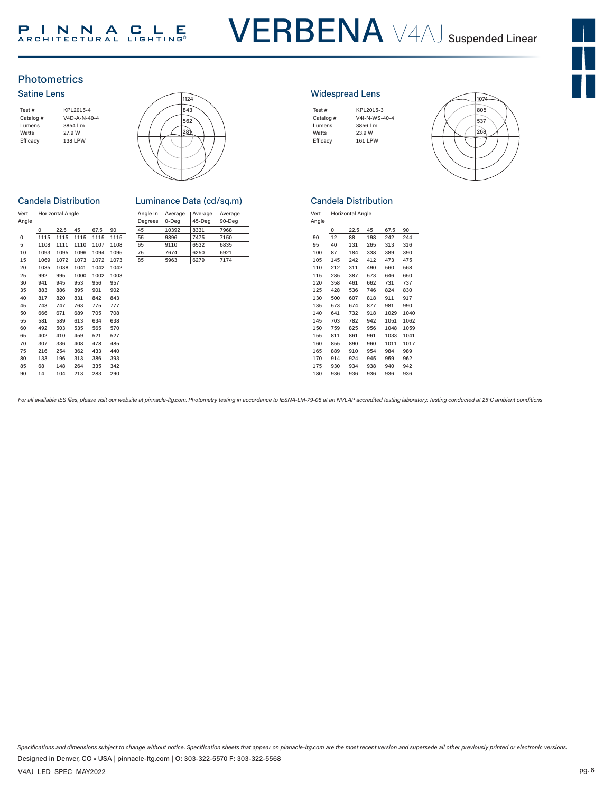# VERBENA V4AJ Suspended Linear



## **Photometrics**

#### Satine Lens





#### **Candela Distribution**

| Vert<br>Angle |          | <b>Horizontal Angle</b> |      |      |      | Angle In<br>Degrees | Average<br>0-Deg | Average<br>$45-Deq$ | Avera<br>$90-D$ |
|---------------|----------|-------------------------|------|------|------|---------------------|------------------|---------------------|-----------------|
|               | $\Omega$ | 22.5                    | 45   | 67.5 | 90   | 45                  | 10392            | 8331                | 7968            |
| 0             | 1115     | 1115                    | 1115 | 1115 | 1115 | 55                  | 9896             | 7475                | 7150            |
| 5             | 1108     | 1111                    | 1110 | 1107 | 1108 | 65                  | 9110             | 6532                | 6835            |
| 10            | 1093     | 1095                    | 1096 | 1094 | 1095 | 75                  | 7674             | 6250                | 6921            |
| 15            | 1069     | 1072                    | 1073 | 1072 | 1073 | 85                  | 5963             | 6279                | 7174            |
| 20            | 1035     | 1038                    | 1041 | 1042 | 1042 |                     |                  |                     |                 |
| 25            | 992      | 995                     | 1000 | 1002 | 1003 |                     |                  |                     |                 |
| 30            | 941      | 945                     | 953  | 956  | 957  |                     |                  |                     |                 |
| 35            | 883      | 886                     | 895  | 901  | 902  |                     |                  |                     |                 |
| 40            | 817      | 820                     | 831  | 842  | 843  |                     |                  |                     |                 |
| 45            | 743      | 747                     | 763  | 775  | 777  |                     |                  |                     |                 |
| 50            | 666      | 671                     | 689  | 705  | 708  |                     |                  |                     |                 |
| 55            | 581      | 589                     | 613  | 634  | 638  |                     |                  |                     |                 |
| 60            | 492      | 503                     | 535  | 565  | 570  |                     |                  |                     |                 |
| 65            | 402      | 410                     | 459  | 521  | 527  |                     |                  |                     |                 |
| 70            | 307      | 336                     | 408  | 478  | 485  |                     |                  |                     |                 |
| 75            | 216      | 254                     | 362  | 433  | 440  |                     |                  |                     |                 |
| 80            | 133      | 196                     | 313  | 386  | 393  |                     |                  |                     |                 |
| 85            | 68       | 148                     | 264  | 335  | 342  |                     |                  |                     |                 |
| 90            | 14       | 104                     | 213  | 283  | 290  |                     |                  |                     |                 |

| Luminance Data (cd/sq.m) |                  |                   |                   |  |  |  |  |  |
|--------------------------|------------------|-------------------|-------------------|--|--|--|--|--|
| Angle In<br>Degrees      | Average<br>0-Deg | Average<br>45-Deg | Average<br>90-Deg |  |  |  |  |  |
| $\overline{ }$           | 10000            | 0.001             | 7000              |  |  |  |  |  |

| Horizontal Angle |      |      |      | Angle In<br>Dearees | Average<br>0-Dea | Average<br>45-Deg | Average<br>90-Deg |      |
|------------------|------|------|------|---------------------|------------------|-------------------|-------------------|------|
| 0                | 22.5 | 45   | 67.5 | 90                  | 45               | 10392             | 8331              | 7968 |
| 1115             | 1115 | 1115 | 1115 | 1115                | 55               | 9896              | 7475              | 7150 |
| 1108             | 1111 | 1110 | 1107 | 1108                | 65               | 9110              | 6532              | 6835 |
| 1093             | 1095 | 1096 | 1094 | 1095                | 75               | 7674              | 6250              | 6921 |
| 1069             | 1072 | 1073 | 1072 | 1073                | 85               | 5963              | 6279              | 7174 |
| 1035             | 1038 | 1041 | 1042 | 1042                |                  |                   |                   |      |
| 992              | 995  | 1000 | 1002 | 1003                |                  |                   |                   |      |
| 941              | 945  | 953  | 956  | 957                 |                  |                   |                   |      |
| 883              | 886  | 895  | 901  | 902                 |                  |                   |                   |      |
| $\sim$ $-$       | 000  | 0.01 | 0.40 | 0.40                |                  |                   |                   |      |

#### Widespread Lens

| Test#     | KPL2015-3      |
|-----------|----------------|
| Catalog # | V4I-N-WS-40-4  |
| Lumens    | 3856 Lm        |
| Watts     | 23.9 W         |
| Efficacy  | <b>161 LPW</b> |
|           |                |



#### Candela Distribution

| Vert  | <b>Horizontal Angle</b> |  |
|-------|-------------------------|--|
| Angle |                         |  |
|       |                         |  |

| סוקופ |          |      |     |      |      |  |  |
|-------|----------|------|-----|------|------|--|--|
|       | $\Omega$ | 22.5 | 45  | 67.5 | 90   |  |  |
| 90    | 12       | 88   | 198 | 242  | 244  |  |  |
| 95    | 40       | 131  | 265 | 313  | 316  |  |  |
| 100   | 87       | 184  | 338 | 389  | 390  |  |  |
| 105   | 145      | 242  | 412 | 473  | 475  |  |  |
| 110   | 212      | 311  | 490 | 560  | 568  |  |  |
| 115   | 285      | 387  | 573 | 646  | 650  |  |  |
| 120   | 358      | 461  | 662 | 731  | 737  |  |  |
| 125   | 428      | 536  | 746 | 824  | 830  |  |  |
| 130   | 500      | 607  | 818 | 911  | 917  |  |  |
| 135   | 573      | 674  | 877 | 981  | 990  |  |  |
| 140   | 641      | 732  | 918 | 1029 | 1040 |  |  |
| 145   | 703      | 782  | 942 | 1051 | 1062 |  |  |
| 150   | 759      | 825  | 956 | 1048 | 1059 |  |  |
| 155   | 811      | 861  | 961 | 1033 | 1041 |  |  |
| 160   | 855      | 890  | 960 | 1011 | 1017 |  |  |
| 165   | 889      | 910  | 954 | 984  | 989  |  |  |
| 170   | 914      | 924  | 945 | 959  | 962  |  |  |
| 175   | 930      | 934  | 938 | 940  | 942  |  |  |
| 180   | 936      | 936  | 936 | 936  | 936  |  |  |

For all available IES files, please visit our website at pinnacle-ltg.com. Photometry testing in accordance to IESNA-LM-79-08 at an NVLAP accredited testing laboratory. Testing conducted at 25°C ambient conditions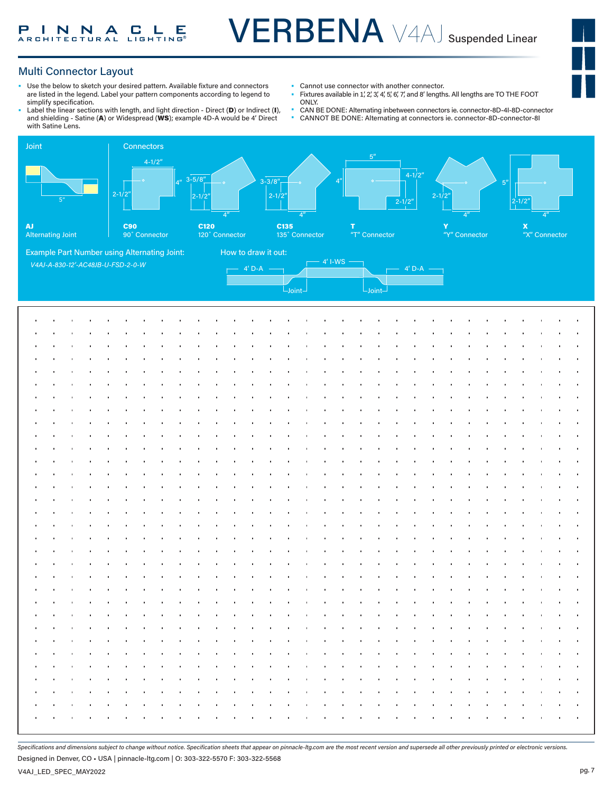## Multi Connector Layout

- Use the below to sketch your desired pattern. Available fixture and connectors are listed in the legend. Label your pattern components according to legend to simplify specification.
- Label the linear sections with length, and light direction Direct (D) or Indirect (I), and shielding - Satine (A) or Widespread (WS); example 4D-A would be 4' Direct with Satine Lens.
- Cannot use connector with another connector.<br>• Fixtures available in 1' 2' 2' 4' 5' 6' 7' and 8' longth
- Fixtures available in 1, 2, 3, 4, 5, 6, 7, and 8' lengths. All lengths are TO THE FOOT ONLY.
- CAN BE DONE: Alternating inbetween connectors ie. connector-8D-4I-8D-connector
	- CANNOT BE DONE: Alternating at connectors ie. connector-8D-connector-8I



*Specifications and dimensions subject to change without notice. Specification sheets that appear on pinnacle-ltg.com are the most recent version and supersede all other previously printed or electronic versions.*

Designed in Denver, CO • USA | pinnacle-ltg.com | O: 303-322-5570 F: 303-322-5568